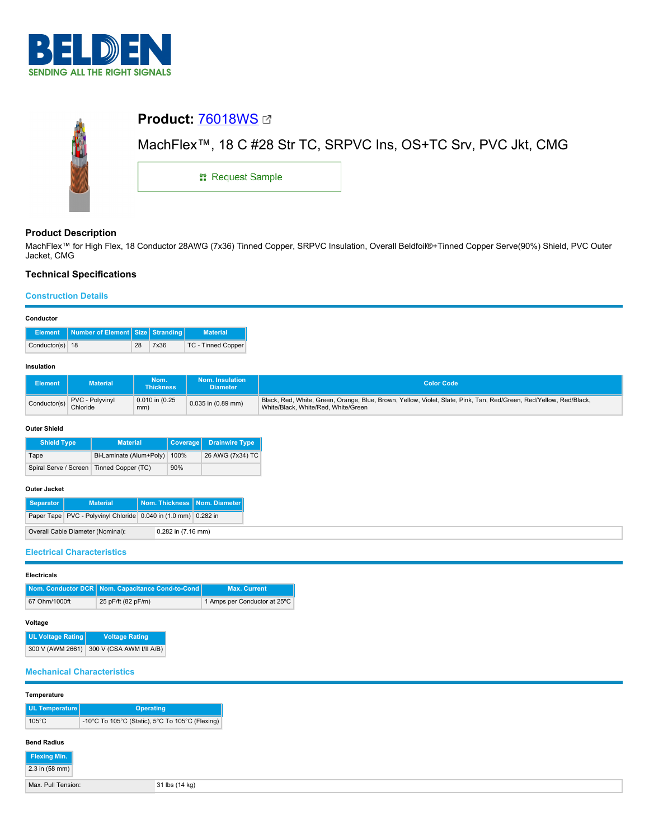



# **Product Description**

MachFlex™ for High Flex, 18 Conductor 28AWG (7x36) Tinned Copper, SRPVC Insulation, Overall Beldfoil®+Tinned Copper Serve(90%) Shield, PVC Outer Jacket, CMG

# **Technical Specifications**

## **Construction Details**

|                 | Element Number of Element Size Stranding |    |      | <b>Material</b>    |
|-----------------|------------------------------------------|----|------|--------------------|
| Conductor(s) 18 |                                          | 28 | 7x36 | TC - Tinned Copper |

### **Insulation**

| <b>Element</b> | <b>Material</b>             | Nom.<br><b>Thickness</b>   | Nom. Insulation<br><b>Diameter</b> | <b>Color Code</b>                                                                                                                                         |
|----------------|-----------------------------|----------------------------|------------------------------------|-----------------------------------------------------------------------------------------------------------------------------------------------------------|
| Conductor(s)   | PVC - Polyvinyl<br>Chloride | $0.010$ in $(0.25)$<br>mm) | 0.035 in (0.89 mm)                 | Black, Red, White, Green, Orange, Blue, Brown, Yellow, Violet, Slate, Pink, Tan, Red/Green, Red/Yellow, Red/Black,<br>White/Black, White/Red, White/Green |

### **Outer Shield**

| <b>Shield Type</b>                         | <b>Material</b>         |      | Coverage Drainwire Type |
|--------------------------------------------|-------------------------|------|-------------------------|
| Tape                                       | Bi-Laminate (Alum+Poly) | 100% | 26 AWG (7x34) TC        |
| Spiral Serve / Screen   Tinned Copper (TC) |                         | 90%  |                         |

# **Outer Jacket**

| ------------ |                                                                |                                |  |
|--------------|----------------------------------------------------------------|--------------------------------|--|
| Separator    | <b>Material</b>                                                | Nom. Thickness   Nom. Diameter |  |
|              | Paper Tape PVC - Polyvinyl Chloride 0.040 in (1.0 mm) 0.282 in |                                |  |
|              | Overall Cable Diameter (Nominal):                              | 0.282 in (7.16 mm)             |  |

# **Electrical Characteristics**

| <b>Electricals</b> |                                                    |                              |
|--------------------|----------------------------------------------------|------------------------------|
|                    | Nom. Conductor DCR   Nom. Capacitance Cond-to-Cond | <b>Max. Current</b>          |
| 67 Ohm/1000ft      | 25 pF/ft (82 pF/m)                                 | 1 Amps per Conductor at 25°C |

| I<br>$\sim$<br>$\sim$<br>٠ |  |
|----------------------------|--|
|----------------------------|--|

| UL Voltage Rating | <b>Voltage Rating</b>                     |
|-------------------|-------------------------------------------|
|                   | 300 V (AWM 2661) 300 V (CSA AWM I/II A/B) |

### **Mechanical Characteristics**

| Temperature |
|-------------|
|-------------|

| UL Temperature  | <b>Operating</b>                                |
|-----------------|-------------------------------------------------|
| $105^{\circ}$ C | -10°C To 105°C (Static), 5°C To 105°C (Flexing) |
|                 |                                                 |

## **Bend Radius**

| <b>Flexing Min.</b> |
|---------------------|
| 2.3 in (58 mm)      |

|  | Max. Pull Tensior |
|--|-------------------|
|  |                   |

 $\blacksquare$  31 lbs (14 kg)